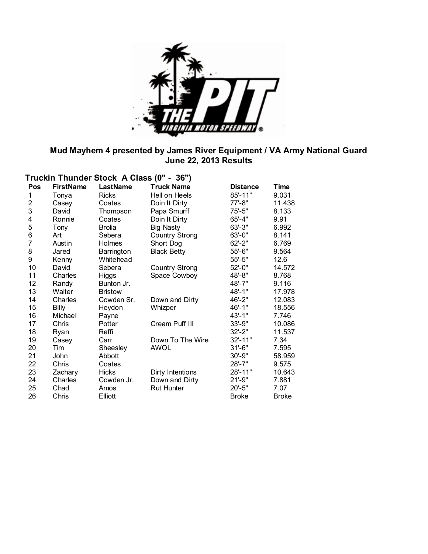

#### **Mud Mayhem 4 presented by James River Equipment / VA Army National Guard June 22, 2013 Results**

|                | Truckin Thunder Stock A Class (0" - 36") |                 |                       |                 |              |  |  |  |
|----------------|------------------------------------------|-----------------|-----------------------|-----------------|--------------|--|--|--|
| <b>Pos</b>     | <b>FirstName</b>                         | <b>LastName</b> | <b>Truck Name</b>     | <b>Distance</b> | Time         |  |  |  |
| 1              | Tonya                                    | <b>Ricks</b>    | Hell on Heels         | 85'-11"         | 9.031        |  |  |  |
| $\overline{2}$ | Casey                                    | Coates          | Doin It Dirty         | 77'-8"          | 11.438       |  |  |  |
| 3              | David                                    | Thompson        | Papa Smurff           | $75 - 5"$       | 8.133        |  |  |  |
| 4              | Ronnie                                   | Coates          | Doin It Dirty         | $65' - 4"$      | 9.91         |  |  |  |
| 5              | Tony                                     | <b>Brolia</b>   | <b>Big Nasty</b>      | $63' - 3"$      | 6.992        |  |  |  |
| 6              | Art                                      | Sebera          | Country Strong        | $63' - 0''$     | 8.141        |  |  |  |
| $\overline{7}$ | Austin                                   | <b>Holmes</b>   | Short Dog             | $62 - 2"$       | 6.769        |  |  |  |
| 8              | Jared                                    | Barrington      | <b>Black Betty</b>    | $55 - 6"$       | 9.564        |  |  |  |
| 9              | Kenny                                    | Whitehead       |                       | $55 - 5"$       | 12.6         |  |  |  |
| 10             | David                                    | Sebera          | <b>Country Strong</b> | $52 - 0$ "      | 14.572       |  |  |  |
| 11             | Charles                                  | <b>Higgs</b>    | Space Cowboy          | 48'-8"          | 8.768        |  |  |  |
| 12             | Randy                                    | Bunton Jr.      |                       | 48'-7"          | 9.116        |  |  |  |
| 13             | Walter                                   | <b>Bristow</b>  |                       | 48'-1"          | 17.978       |  |  |  |
| 14             | Charles                                  | Cowden Sr.      | Down and Dirty        | 46'-2"          | 12.083       |  |  |  |
| 15             | <b>Billy</b>                             | Heydon          | Whizper               | $46' - 1"$      | 18.556       |  |  |  |
| 16             | Michael                                  | Payne           |                       | $43' - 1"$      | 7.746        |  |  |  |
| 17             | Chris                                    | Potter          | Cream Puff III        | $33' - 9''$     | 10.086       |  |  |  |
| 18             | Ryan                                     | Reffi           |                       | $32 - 2"$       | 11.537       |  |  |  |
| 19             | Casey                                    | Carr            | Down To The Wire      | $32' - 11"$     | 7.34         |  |  |  |
| 20             | Tim                                      | Sheesley        | <b>AWOL</b>           | $31 - 6"$       | 7.595        |  |  |  |
| 21             | <b>John</b>                              | Abbott          |                       | $30' - 9"$      | 58.959       |  |  |  |
| 22             | Chris                                    | Coates          |                       | $28' - 7"$      | 9.575        |  |  |  |
| 23             | Zachary                                  | <b>Hicks</b>    | Dirty Intentions      | 28'-11"         | 10.643       |  |  |  |
| 24             | Charles                                  | Cowden Jr.      | Down and Dirty        | $21' - 9"$      | 7.881        |  |  |  |
| 25             | Chad                                     | Amos            | <b>Rut Hunter</b>     | $20' - 5"$      | 7.07         |  |  |  |
| 26             | Chris                                    | <b>Elliott</b>  |                       | <b>Broke</b>    | <b>Broke</b> |  |  |  |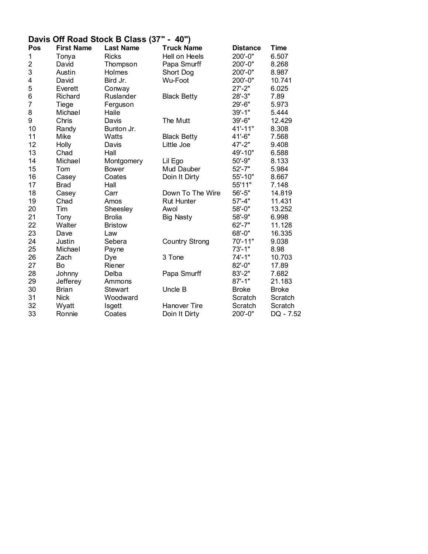#### **Davis Off Road Stock B Class (37" - 40")**

| Pos            | <b>First Name</b> | <b>Last Name</b> | <b>Truck Name</b>     | <b>Distance</b> | <b>Time</b>  |
|----------------|-------------------|------------------|-----------------------|-----------------|--------------|
| 1              | Tonya             | <b>Ricks</b>     | Hell on Heels         | 200'-0"         | 6.507        |
| $\overline{2}$ | David             | Thompson         | Papa Smurff           | 200'-0"         | 8.268        |
| 3              | Austin            | Holmes           | Short Dog             | 200'-0"         | 8.987        |
| 4              | David             | Bird Jr.         | Wu-Foot               | 200'-0"         | 10.741       |
| 5              | Everett           | Conway           |                       | $27 - 2"$       | 6.025        |
| 6              | Richard           | Ruslander        | <b>Black Betty</b>    | $28 - 3"$       | 7.89         |
| $\overline{7}$ | Tiege             | Ferguson         |                       | 29'-6"          | 5.973        |
| 8              | Michael           | Haile            |                       | $39' - 1"$      | 5.444        |
| 9              | Chris             | Davis            | The Mutt              | 39'-6"          | 12.429       |
| 10             | Randy             | Bunton Jr.       |                       | 41'-11"         | 8.308        |
| 11             | Mike              | Watts            | <b>Black Betty</b>    | 41'-6"          | 7.568        |
| 12             | Holly             | Davis            | Little Joe            | 47'-2"          | 9.408        |
| 13             | Chad              | Hall             |                       | 49'-10"         | 6.588        |
| 14             | Michael           | Montgomery       | Lil Ego               | $50' - 9"$      | 8.133        |
| 15             | Tom               | <b>Bower</b>     | Mud Dauber            | $52' - 7"$      | 5.984        |
| 16             | Casey             | Coates           | Doin It Dirty         | 55'-10"         | 8.667        |
| 17             | <b>Brad</b>       | Hall             |                       | 55'11"          | 7.148        |
| 18             | Casey             | Carr             | Down To The Wire      | $56' - 5"$      | 14.819       |
| 19             | Chad              | Amos             | <b>Rut Hunter</b>     | $57' - 4"$      | 11.431       |
| 20             | Tim               | Sheesley         | Awol                  | 58'-0"          | 13.252       |
| 21             | Tony              | <b>Brolia</b>    | <b>Big Nasty</b>      | 58'-9"          | 6.998        |
| 22             | Walter            | <b>Bristow</b>   |                       | $62' - 7"$      | 11.128       |
| 23             | Dave              | Law              |                       | 68'-0"          | 16.335       |
| 24             | Justin            | Sebera           | <b>Country Strong</b> | $70' - 11"$     | 9.038        |
| 25             | Michael           | Payne            |                       | $73' - 1"$      | 8.98         |
| 26             | Zach              | Dye              | 3 Tone                | $74' - 1"$      | 10.703       |
| 27             | Bo                | Riener           |                       | $82 - 0$ "      | 17.89        |
| 28             | Johnny            | Delba            | Papa Smurff           | $83' - 2"$      | 7.682        |
| 29             | Jefferey          | Ammons           |                       | $87 - 1"$       | 21.183       |
| 30             | <b>Brian</b>      | <b>Stewart</b>   | Uncle B               | <b>Broke</b>    | <b>Broke</b> |
| 31             | <b>Nick</b>       | Woodward         |                       | Scratch         | Scratch      |
| 32             | Wyatt             | Isgett           | Hanover Tire          | Scratch         | Scratch      |
| 33             | Ronnie            | Coates           | Doin It Dirty         | 200'-0"         | DQ - 7.52    |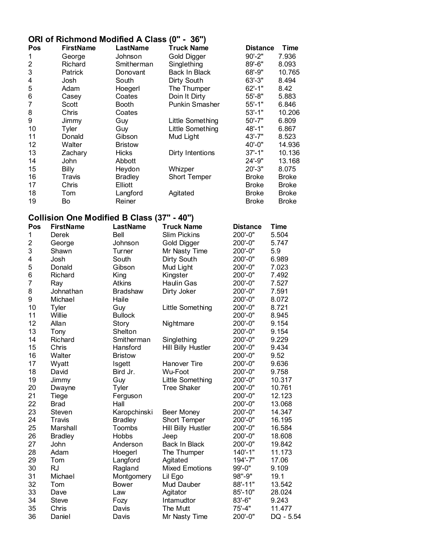### **ORI of Richmond Modified A Class (0" - 36")**

| Pos | <b>FirstName</b> | LastName       | <b>Truck Name</b>     | <b>Distance</b> | Time         |
|-----|------------------|----------------|-----------------------|-----------------|--------------|
| 1   | George           | Johnson        | <b>Gold Digger</b>    | $90' - 2"$      | 7.936        |
| 2   | Richard          | Smitherman     | Singlething           | 89'-6"          | 8.093        |
| 3   | Patrick          | Donovant       | Back In Black         | 68'-9"          | 10.765       |
| 4   | Josh             | South          | Dirty South           | $63' - 3"$      | 8.494        |
| 5   | Adam             | Hoegerl        | The Thumper           | $62 - 1"$       | 8.42         |
| 6   | Casey            | Coates         | Doin It Dirty         | $55' - 8"$      | 5.883        |
| 7   | Scott            | <b>Booth</b>   | <b>Punkin Smasher</b> | $55' - 1"$      | 6.846        |
| 8   | Chris            | Coates         |                       | $53' - 1"$      | 10.206       |
| 9   | Jimmy            | Guy            | Little Something      | $50' - 7"$      | 6.809        |
| 10  | Tyler            | Guy            | Little Something      | 48'-1"          | 6.867        |
| 11  | Donald           | Gibson         | Mud Light             | 43'-7"          | 8.523        |
| 12  | Walter           | <b>Bristow</b> |                       | $40' - 0"$      | 14.936       |
| 13  | Zachary          | <b>Hicks</b>   | Dirty Intentions      | $37 - 1"$       | 10.136       |
| 14  | John             | Abbott         |                       | $24' - 9''$     | 13.168       |
| 15  | <b>Billy</b>     | Heydon         | Whizper               | $20' - 3"$      | 8.075        |
| 16  | Travis           | <b>Bradley</b> | <b>Short Temper</b>   | <b>Broke</b>    | <b>Broke</b> |
| 17  | Chris            | Elliott        |                       | <b>Broke</b>    | <b>Broke</b> |
| 18  | Tom              | Langford       | Agitated              | <b>Broke</b>    | <b>Broke</b> |
| 19  | Bo               | Reiner         |                       | <b>Broke</b>    | <b>Broke</b> |

# **Collision One Modified B Class (37" - 40")**

| Pos            | <b>FirstName</b> | <b>LastName</b> | <b>Truck Name</b>     | <b>Distance</b> | <b>Time</b> |
|----------------|------------------|-----------------|-----------------------|-----------------|-------------|
| 1              | <b>Derek</b>     | Bell            | <b>Slim Pickins</b>   | 200'-0"         | 5.504       |
| 2              | George           | Johnson         | Gold Digger           | 200'-0"         | 5.747       |
| 3              | Shawn            | Turner          | Mr Nasty Time         | 200'-0"         | 5.9         |
| 4              | Josh             | South           | Dirty South           | 200'-0"         | 6.989       |
| 5              | Donald           | Gibson          | Mud Light             | 200'-0"         | 7.023       |
| 6              | Richard          | King            | Kingster              | 200'-0"         | 7.492       |
| $\overline{7}$ | Ray              | <b>Atkins</b>   | <b>Haulin Gas</b>     | 200'-0"         | 7.527       |
| 8              | Johnathan        | <b>Bradshaw</b> | Dirty Joker           | 200'-0"         | 7.591       |
| 9              | Michael          | Haile           |                       | 200'-0"         | 8.072       |
| 10             | <b>Tyler</b>     | Guy             | Little Something      | 200'-0"         | 8.721       |
| 11             | Willie           | <b>Bullock</b>  |                       | 200'-0"         | 8.945       |
| 12             | Allan            | Story           | Nightmare             | 200'-0"         | 9.154       |
| 13             | Tony             | Shelton         |                       | 200'-0"         | 9.154       |
| 14             | Richard          | Smitherman      | Singlething           | 200'-0"         | 9.229       |
| 15             | Chris            | Hansford        | Hill Billy Hustler    | 200'-0"         | 9.434       |
| 16             | Walter           | <b>Bristow</b>  |                       | 200'-0"         | 9.52        |
| 17             | Wyatt            | Isgett          | Hanover Tire          | 200'-0"         | 9.636       |
| 18             | David            | Bird Jr.        | Wu-Foot               | 200'-0"         | 9.758       |
| 19             | Jimmy            | Guy             | Little Something      | 200'-0"         | 10.317      |
| 20             | Dwayne           | Tyler           | <b>Tree Shaker</b>    | 200'-0"         | 10.761      |
| 21             | Tiege            | Ferguson        |                       | 200'-0"         | 12.123      |
| 22             | <b>Brad</b>      | Hall            |                       | 200'-0"         | 13.068      |
| 23             | Steven           | Karopchinski    | <b>Beer Money</b>     | 200'-0"         | 14.347      |
| 24             | Travis           | <b>Bradley</b>  | Short Temper          | 200'-0"         | 16.195      |
| 25             | Marshall         | Toombs          | Hill Billy Hustler    | 200'-0"         | 16.584      |
| 26             | <b>Bradley</b>   | <b>Hobbs</b>    | Jeep                  | 200'-0"         | 18.608      |
| 27             | John             | Anderson        | Back In Black         | 200'-0"         | 19.842      |
| 28             | Adam             | Hoegerl         | The Thumper           | $140' - 1"$     | 11.173      |
| 29             | Tom              | Langford        | Agitated              | $194' - 7"$     | 17.06       |
| 30             | <b>RJ</b>        | Ragland         | <b>Mixed Emotions</b> | 99'-0"          | 9.109       |
| 31             | Michael          | Montgomery      | Lil Ego               | 98"-9"          | 19.1        |
| 32             | Tom              | <b>Bower</b>    | Mud Dauber            | 88'-11"         | 13.542      |
| 33             | Dave             | Law             | Agitator              | 85'-10"         | 28.024      |
| 34             | <b>Steve</b>     | Fozy            | Intamudtor            | 83'-6"          | 9.243       |
| 35             | Chris            | Davis           | The Mutt              | $75' - 4"$      | 11.477      |
| 36             | Daniel           | Davis           | Mr Nasty Time         | 200'-0"         | DQ - 5.54   |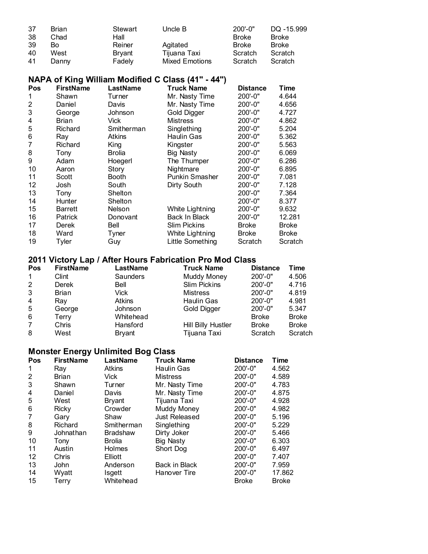| 37 | Brian | Stewart       | Uncle B               | $200' - 0"$  | DQ -15.999   |
|----|-------|---------------|-----------------------|--------------|--------------|
| 38 | Chad  | Hall          |                       | <b>Broke</b> | <b>Broke</b> |
| 39 | B٥    | Reiner        | Agitated              | Broke        | <b>Broke</b> |
| 40 | West  | <b>Bryant</b> | Tijuana Taxi          | Scratch      | Scratch      |
| 41 | Dannv | Fadely        | <b>Mixed Emotions</b> | Scratch      | Scratch      |

### **NAPA of King William Modified C Class (41" - 44")**

| Pos | <b>FirstName</b> | LastName     | <b>Truck Name</b>     | <b>Distance</b> | Time         |
|-----|------------------|--------------|-----------------------|-----------------|--------------|
| 1   | Shawn            | Turner       | Mr. Nasty Time        | $200'-0$ "      | 4.644        |
| 2   | Daniel           | Davis        | Mr. Nasty Time        | $200' - 0''$    | 4.656        |
| 3   | George           | Johnson      | Gold Digger           | 200'-0"         | 4.727        |
| 4   | Brian            | Vick         | <b>Mistress</b>       | 200'-0"         | 4.862        |
| 5   | Richard          | Smitherman   | Singlething           | $200' - 0"$     | 5.204        |
| 6   | Ray              | Atkins       | Haulin Gas            | $200' - 0"$     | 5.362        |
| 7   | Richard          | King         | Kingster              | $200' - 0"$     | 5.563        |
| 8   | Tony             | Brolia       | <b>Big Nasty</b>      | $200' - 0"$     | 6.069        |
| 9   | Adam             | Hoegerl      | The Thumper           | $200' - 0"$     | 6.286        |
| 10  | Aaron            | Story        | Nightmare             | $200' - 0"$     | 6.895        |
| 11  | Scott            | Booth        | <b>Punkin Smasher</b> | $200' - 0"$     | 7.081        |
| 12  | Josh             | South        | Dirty South           | $200' - 0''$    | 7.128        |
| 13  | Tony             | Shelton      |                       | $200' - 0''$    | 7.364        |
| 14  | Hunter           | Shelton      |                       | 200'-0"         | 8.377        |
| 15  | <b>Barrett</b>   | Nelson       | White Lightning       | $200' - 0''$    | 9.632        |
| 16  | <b>Patrick</b>   | Donovant     | Back In Black         | 200'-0"         | 12.281       |
| 17  | Derek            | Bell         | Slim Pickins          | Broke           | <b>Broke</b> |
| 18  | Ward             | <b>Tyner</b> | White Lightning       | <b>Broke</b>    | <b>Broke</b> |
| 19  | Tyler            | Guy          | Little Something      | Scratch         | Scratch      |

#### **2011 Victory Lap / After Hours Fabrication Pro Mod Class**

| <b>Pos</b>   | <b>FirstName</b> | LastName      | <b>Truck Name</b>   | <b>Distance</b> | Time         |
|--------------|------------------|---------------|---------------------|-----------------|--------------|
| $\mathbf{1}$ | Clint            | Saunders      | <b>Muddy Money</b>  | $200' - 0''$    | 4.506        |
| $\mathbf{2}$ | Derek            | Bell          | <b>Slim Pickins</b> | $200' - 0''$    | 4.716        |
| 3            | Brian            | Vick          | <b>Mistress</b>     | $200' - 0''$    | 4.819        |
| 4            | Rav              | <b>Atkins</b> | <b>Haulin Gas</b>   | $200' - 0''$    | 4.981        |
| 5            | George           | Johnson       | Gold Digger         | $200' - 0''$    | 5.347        |
| 6            | Terry            | Whitehead     |                     | <b>Broke</b>    | <b>Broke</b> |
| 7            | Chris            | Hansford      | Hill Billy Hustler  | <b>Broke</b>    | <b>Broke</b> |
| 8            | West             | <b>Bryant</b> | Tijuana Taxi        | Scratch         | Scratch      |

### **Monster Energy Unlimited Bog Class**

| Pos            | <b>FirstName</b> | LastName        | <b>Truck Name</b>    | <b>Distance</b> | <b>Time</b>  |
|----------------|------------------|-----------------|----------------------|-----------------|--------------|
| 1              | Ray              | <b>Atkins</b>   | <b>Haulin Gas</b>    | $200' - 0"$     | 4.562        |
| $\overline{2}$ | Brian            | Vick            | <b>Mistress</b>      | $200' - 0''$    | 4.589        |
| 3              | Shawn            | Turner          | Mr. Nasty Time       | 200'-0"         | 4.783        |
| 4              | Daniel           | Davis           | Mr. Nasty Time       | $200' - 0''$    | 4.875        |
| 5              | West             | Bryant          | Tijuana Taxi         | $200' - 0''$    | 4.928        |
| 6              | <b>Ricky</b>     | Crowder         | <b>Muddy Money</b>   | 200'-0"         | 4.982        |
| 7              | Gary             | Shaw            | <b>Just Released</b> | $200' - 0''$    | 5.196        |
| 8              | Richard          | Smitherman      | Singlething          | 200'-0"         | 5.229        |
| 9              | Johnathan        | <b>Bradshaw</b> | Dirty Joker          | 200'-0"         | 5.466        |
| 10             | Tony             | <b>Brolia</b>   | Big Nasty            | $200' - 0''$    | 6.303        |
| 11             | Austin           | <b>Holmes</b>   | Short Dog            | 200'-0"         | 6.497        |
| 12             | Chris            | Elliott         |                      | 200'-0"         | 7.407        |
| 13             | <b>John</b>      | Anderson        | Back in Black        | $200' - 0''$    | 7.959        |
| 14             | Wyatt            | Isgett          | Hanover Tire         | $200' - 0''$    | 17.862       |
| 15             | Terry            | Whitehead       |                      | <b>Broke</b>    | <b>Broke</b> |